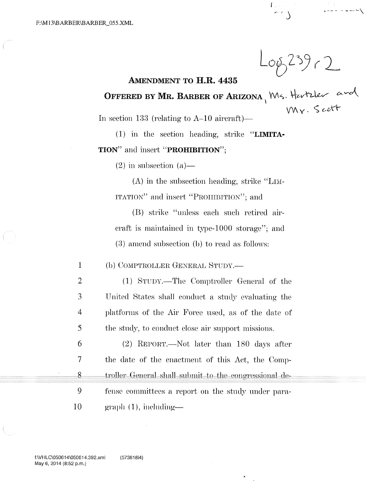..... / *,)* . -- - . --- '-\

## AMENDMENT TO H.R. 4435

OFFERED BY MR. BARBER OF ARIZONA, Ms. Hertzler and

In section 133 (relating to  $A-10$  aircraft)-

(1) in the section heading, strike "LIMITA-TION" and insert "PROHIBITION":

 $(2)$  in subsection  $(a)$ —

 $(A)$  in the subsection heading, strike "LIM-ITATIOK" and insert "PROHIBITION"; and

 $(B)$  strike "unless each such retired aircraft is maintained in type-1000 storage"; and  $(3)$  amend subsection (b) to read as follows:

1 (b) COMPTROLLER GENERAL STUDY.—

4 (1) STUDY.—The Comptroller General of the United States shall conduct a study evaluating the platforms of the Air Force used, as of the date of the study, to conduct close air support missions.

6 7 8 9 10  $(2)$  REPORT.—Not later than 180 days after the date of the enactment of this Act, the Comptroller General shall submit to the congressional defense committees a report on the study under para $graph ( 1 )$ , including—

2

3

5